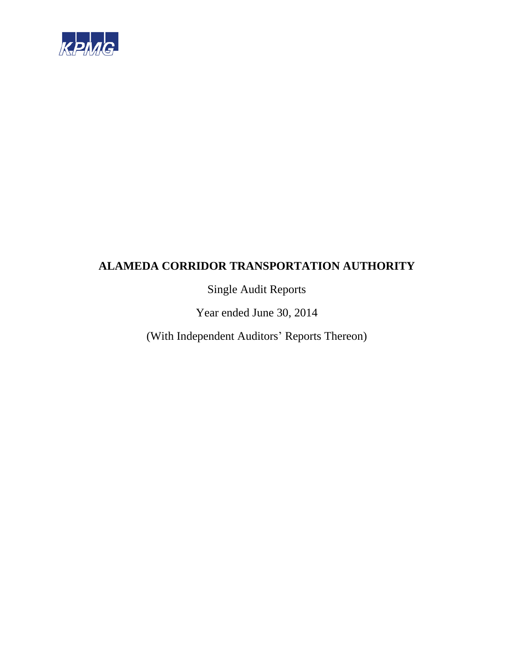

Single Audit Reports

Year ended June 30, 2014

(With Independent Auditors' Reports Thereon)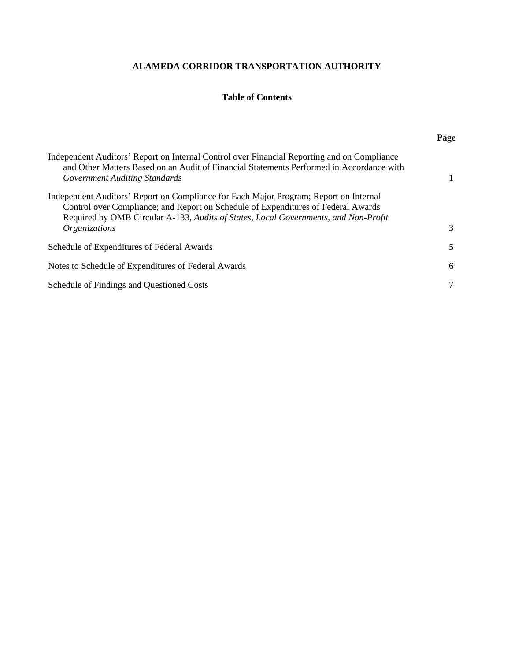## **Table of Contents**

|                                                                                                                                                                                                                                                                   | Page         |
|-------------------------------------------------------------------------------------------------------------------------------------------------------------------------------------------------------------------------------------------------------------------|--------------|
| Independent Auditors' Report on Internal Control over Financial Reporting and on Compliance<br>and Other Matters Based on an Audit of Financial Statements Performed in Accordance with<br><b>Government Auditing Standards</b>                                   | $\mathbf{1}$ |
| Independent Auditors' Report on Compliance for Each Major Program; Report on Internal<br>Control over Compliance; and Report on Schedule of Expenditures of Federal Awards<br>Required by OMB Circular A-133, Audits of States, Local Governments, and Non-Profit |              |
| Organizations                                                                                                                                                                                                                                                     | 3            |
| Schedule of Expenditures of Federal Awards                                                                                                                                                                                                                        | 5            |
| Notes to Schedule of Expenditures of Federal Awards                                                                                                                                                                                                               | 6            |
| Schedule of Findings and Questioned Costs                                                                                                                                                                                                                         | 7            |
|                                                                                                                                                                                                                                                                   |              |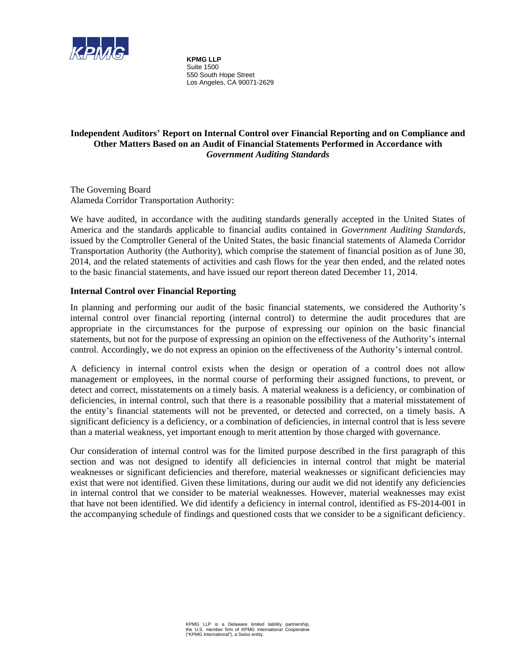

**KPMG LLP** Suite 1500 550 South Hope Street Los Angeles, CA 90071-2629

## **Independent Auditors' Report on Internal Control over Financial Reporting and on Compliance and Other Matters Based on an Audit of Financial Statements Performed in Accordance with**  *Government Auditing Standards*

The Governing Board Alameda Corridor Transportation Authority:

We have audited, in accordance with the auditing standards generally accepted in the United States of America and the standards applicable to financial audits contained in *Government Auditing Standards*, issued by the Comptroller General of the United States, the basic financial statements of Alameda Corridor Transportation Authority (the Authority), which comprise the statement of financial position as of June 30, 2014, and the related statements of activities and cash flows for the year then ended, and the related notes to the basic financial statements, and have issued our report thereon dated December 11, 2014.

## **Internal Control over Financial Reporting**

In planning and performing our audit of the basic financial statements, we considered the Authority's internal control over financial reporting (internal control) to determine the audit procedures that are appropriate in the circumstances for the purpose of expressing our opinion on the basic financial statements, but not for the purpose of expressing an opinion on the effectiveness of the Authority's internal control. Accordingly, we do not express an opinion on the effectiveness of the Authority's internal control.

A deficiency in internal control exists when the design or operation of a control does not allow management or employees, in the normal course of performing their assigned functions, to prevent, or detect and correct, misstatements on a timely basis. A material weakness is a deficiency, or combination of deficiencies, in internal control, such that there is a reasonable possibility that a material misstatement of the entity's financial statements will not be prevented, or detected and corrected, on a timely basis. A significant deficiency is a deficiency, or a combination of deficiencies, in internal control that is less severe than a material weakness, yet important enough to merit attention by those charged with governance.

Our consideration of internal control was for the limited purpose described in the first paragraph of this section and was not designed to identify all deficiencies in internal control that might be material weaknesses or significant deficiencies and therefore, material weaknesses or significant deficiencies may exist that were not identified. Given these limitations, during our audit we did not identify any deficiencies in internal control that we consider to be material weaknesses. However, material weaknesses may exist that have not been identified. We did identify a deficiency in internal control, identified as FS-2014-001 in the accompanying schedule of findings and questioned costs that we consider to be a significant deficiency.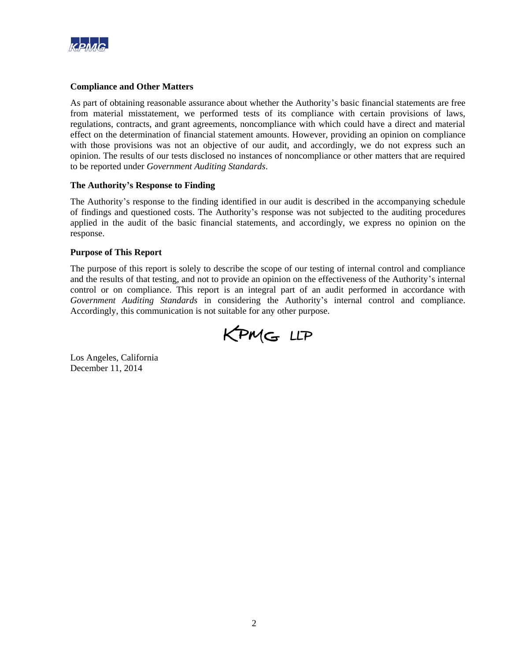

#### **Compliance and Other Matters**

As part of obtaining reasonable assurance about whether the Authority's basic financial statements are free from material misstatement, we performed tests of its compliance with certain provisions of laws, regulations, contracts, and grant agreements, noncompliance with which could have a direct and material effect on the determination of financial statement amounts. However, providing an opinion on compliance with those provisions was not an objective of our audit, and accordingly, we do not express such an opinion. The results of our tests disclosed no instances of noncompliance or other matters that are required to be reported under *Government Auditing Standards*.

#### **The Authority's Response to Finding**

The Authority's response to the finding identified in our audit is described in the accompanying schedule of findings and questioned costs. The Authority's response was not subjected to the auditing procedures applied in the audit of the basic financial statements, and accordingly, we express no opinion on the response.

#### **Purpose of This Report**

The purpose of this report is solely to describe the scope of our testing of internal control and compliance and the results of that testing, and not to provide an opinion on the effectiveness of the Authority's internal control or on compliance. This report is an integral part of an audit performed in accordance with *Government Auditing Standards* in considering the Authority's internal control and compliance. Accordingly, this communication is not suitable for any other purpose.



Los Angeles, California December 11, 2014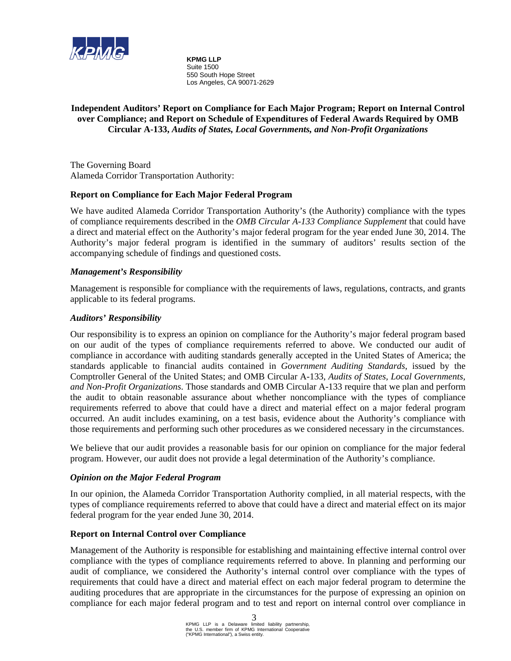

**KPMG LLP** Suite 1500 550 South Hope Street Los Angeles, CA 90071-2629

## **Independent Auditors' Report on Compliance for Each Major Program; Report on Internal Control over Compliance; and Report on Schedule of Expenditures of Federal Awards Required by OMB Circular A-133,** *Audits of States, Local Governments, and Non-Profit Organizations*

The Governing Board Alameda Corridor Transportation Authority:

## **Report on Compliance for Each Major Federal Program**

We have audited Alameda Corridor Transportation Authority's (the Authority) compliance with the types of compliance requirements described in the *OMB Circular A-133 Compliance Supplement* that could have a direct and material effect on the Authority's major federal program for the year ended June 30, 2014. The Authority's major federal program is identified in the summary of auditors' results section of the accompanying schedule of findings and questioned costs.

#### *Management's Responsibility*

Management is responsible for compliance with the requirements of laws, regulations, contracts, and grants applicable to its federal programs.

#### *Auditors' Responsibility*

Our responsibility is to express an opinion on compliance for the Authority's major federal program based on our audit of the types of compliance requirements referred to above. We conducted our audit of compliance in accordance with auditing standards generally accepted in the United States of America; the standards applicable to financial audits contained in *Government Auditing Standards*, issued by the Comptroller General of the United States; and OMB Circular A-133, *Audits of States, Local Governments, and Non-Profit Organizations*. Those standards and OMB Circular A-133 require that we plan and perform the audit to obtain reasonable assurance about whether noncompliance with the types of compliance requirements referred to above that could have a direct and material effect on a major federal program occurred. An audit includes examining, on a test basis, evidence about the Authority's compliance with those requirements and performing such other procedures as we considered necessary in the circumstances.

We believe that our audit provides a reasonable basis for our opinion on compliance for the major federal program. However, our audit does not provide a legal determination of the Authority's compliance.

## *Opinion on the Major Federal Program*

In our opinion, the Alameda Corridor Transportation Authority complied, in all material respects, with the types of compliance requirements referred to above that could have a direct and material effect on its major federal program for the year ended June 30, 2014.

#### **Report on Internal Control over Compliance**

Management of the Authority is responsible for establishing and maintaining effective internal control over compliance with the types of compliance requirements referred to above. In planning and performing our audit of compliance, we considered the Authority's internal control over compliance with the types of requirements that could have a direct and material effect on each major federal program to determine the auditing procedures that are appropriate in the circumstances for the purpose of expressing an opinion on compliance for each major federal program and to test and report on internal control over compliance in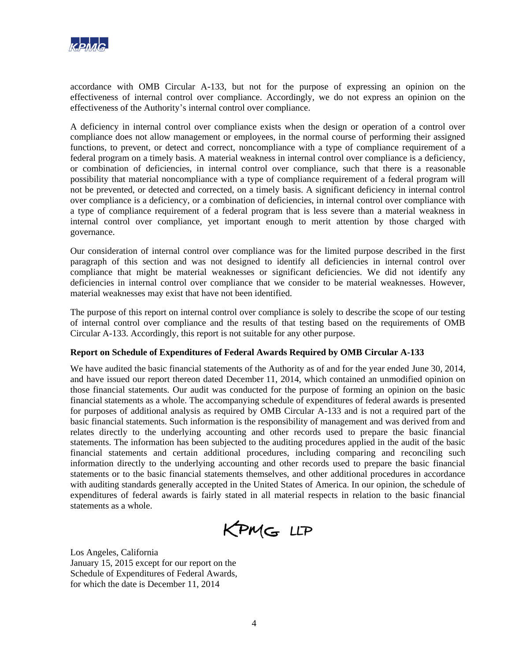

accordance with OMB Circular A-133, but not for the purpose of expressing an opinion on the effectiveness of internal control over compliance. Accordingly, we do not express an opinion on the effectiveness of the Authority's internal control over compliance.

A deficiency in internal control over compliance exists when the design or operation of a control over compliance does not allow management or employees, in the normal course of performing their assigned functions, to prevent, or detect and correct, noncompliance with a type of compliance requirement of a federal program on a timely basis. A material weakness in internal control over compliance is a deficiency, or combination of deficiencies, in internal control over compliance, such that there is a reasonable possibility that material noncompliance with a type of compliance requirement of a federal program will not be prevented, or detected and corrected, on a timely basis. A significant deficiency in internal control over compliance is a deficiency, or a combination of deficiencies, in internal control over compliance with a type of compliance requirement of a federal program that is less severe than a material weakness in internal control over compliance, yet important enough to merit attention by those charged with governance.

Our consideration of internal control over compliance was for the limited purpose described in the first paragraph of this section and was not designed to identify all deficiencies in internal control over compliance that might be material weaknesses or significant deficiencies. We did not identify any deficiencies in internal control over compliance that we consider to be material weaknesses. However, material weaknesses may exist that have not been identified.

The purpose of this report on internal control over compliance is solely to describe the scope of our testing of internal control over compliance and the results of that testing based on the requirements of OMB Circular A-133. Accordingly, this report is not suitable for any other purpose.

#### **Report on Schedule of Expenditures of Federal Awards Required by OMB Circular A-133**

We have audited the basic financial statements of the Authority as of and for the year ended June 30, 2014, and have issued our report thereon dated December 11, 2014, which contained an unmodified opinion on those financial statements. Our audit was conducted for the purpose of forming an opinion on the basic financial statements as a whole. The accompanying schedule of expenditures of federal awards is presented for purposes of additional analysis as required by OMB Circular A-133 and is not a required part of the basic financial statements. Such information is the responsibility of management and was derived from and relates directly to the underlying accounting and other records used to prepare the basic financial statements. The information has been subjected to the auditing procedures applied in the audit of the basic financial statements and certain additional procedures, including comparing and reconciling such information directly to the underlying accounting and other records used to prepare the basic financial statements or to the basic financial statements themselves, and other additional procedures in accordance with auditing standards generally accepted in the United States of America. In our opinion, the schedule of expenditures of federal awards is fairly stated in all material respects in relation to the basic financial statements as a whole.

KPMG LLP

Los Angeles, California January 15, 2015 except for our report on the Schedule of Expenditures of Federal Awards, for which the date is December 11, 2014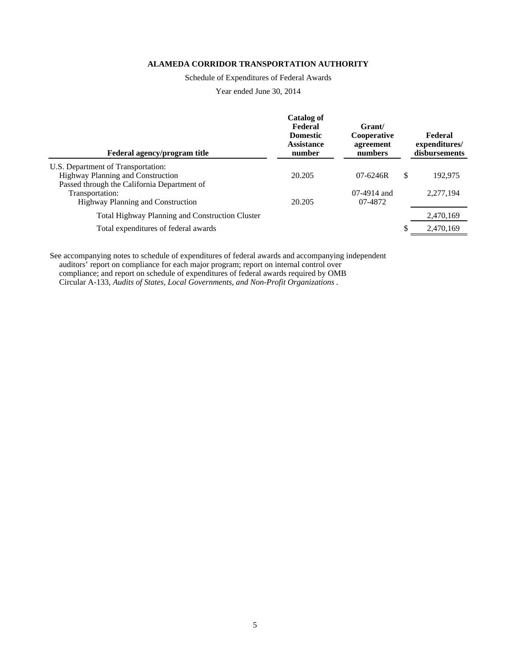Schedule of Expenditures of Federal Awards

Year ended June 30, 2014

| Federal agency/program title                                            | <b>Catalog of</b><br>Federal<br><b>Domestic</b><br><b>Assistance</b><br>number | Grant/<br>Cooperative<br>agreement<br>numbers |    | Federal<br>expenditures/<br>disbursements |
|-------------------------------------------------------------------------|--------------------------------------------------------------------------------|-----------------------------------------------|----|-------------------------------------------|
| U.S. Department of Transportation:<br>Highway Planning and Construction | 20.205                                                                         | $07 - 6246R$                                  | \$ | 192,975                                   |
| Passed through the California Department of                             |                                                                                |                                               |    |                                           |
| Transportation:<br><b>Highway Planning and Construction</b>             | 20.205                                                                         | $07-4914$ and<br>07-4872                      |    | 2,277,194                                 |
| Total Highway Planning and Construction Cluster                         |                                                                                |                                               |    | 2,470,169                                 |
| Total expenditures of federal awards                                    |                                                                                |                                               | S  | 2,470,169                                 |
|                                                                         |                                                                                |                                               |    |                                           |

See accompanying notes to schedule of expenditures of federal awards and accompanying independent auditors' report on compliance for each major program; report on internal control over compliance; and report on schedule of expenditures of federal awards required by OMB Circular A-133, *Audits of States, Local Governments, and Non-Profit Organizations* .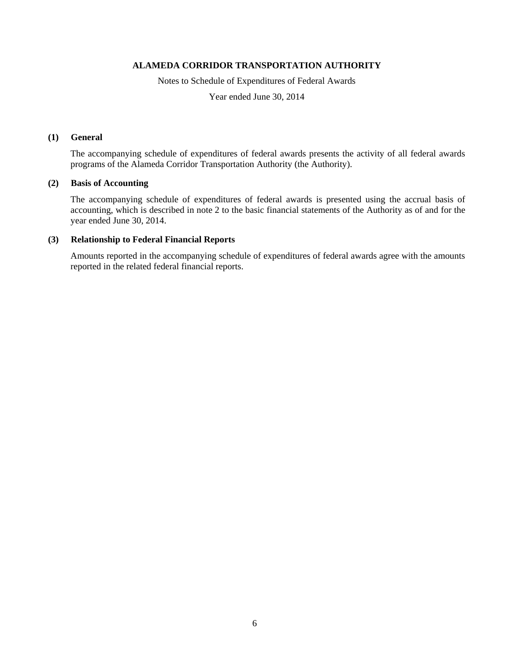Notes to Schedule of Expenditures of Federal Awards

Year ended June 30, 2014

#### **(1) General**

The accompanying schedule of expenditures of federal awards presents the activity of all federal awards programs of the Alameda Corridor Transportation Authority (the Authority).

#### **(2) Basis of Accounting**

The accompanying schedule of expenditures of federal awards is presented using the accrual basis of accounting, which is described in note 2 to the basic financial statements of the Authority as of and for the year ended June 30, 2014.

#### **(3) Relationship to Federal Financial Reports**

Amounts reported in the accompanying schedule of expenditures of federal awards agree with the amounts reported in the related federal financial reports.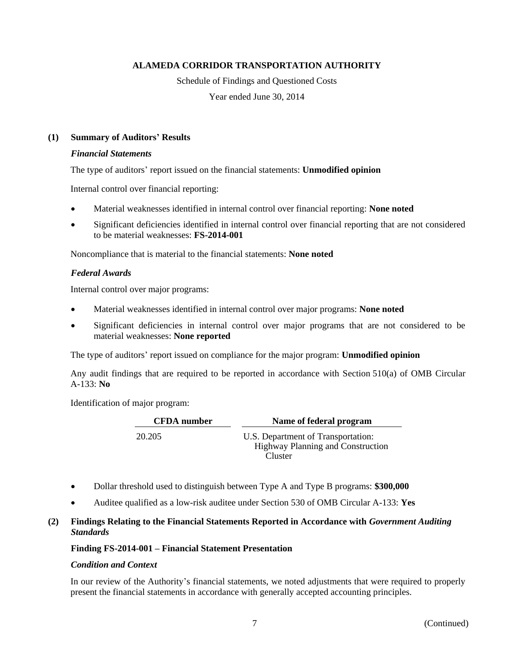Schedule of Findings and Questioned Costs

Year ended June 30, 2014

## **(1) Summary of Auditors' Results**

#### *Financial Statements*

The type of auditors' report issued on the financial statements: **Unmodified opinion**

Internal control over financial reporting:

- Material weaknesses identified in internal control over financial reporting: **None noted**
- Significant deficiencies identified in internal control over financial reporting that are not considered to be material weaknesses: **FS-2014-001**

Noncompliance that is material to the financial statements: **None noted**

#### *Federal Awards*

Internal control over major programs:

- Material weaknesses identified in internal control over major programs: **None noted**
- Significant deficiencies in internal control over major programs that are not considered to be material weaknesses: **None reported**

The type of auditors' report issued on compliance for the major program: **Unmodified opinion**

Any audit findings that are required to be reported in accordance with Section 510(a) of OMB Circular A-133: **No**

Identification of major program:

| <b>CFDA</b> number | Name of federal program                                                        |
|--------------------|--------------------------------------------------------------------------------|
| 20.205             | U.S. Department of Transportation:<br><b>Highway Planning and Construction</b> |
|                    | Cluster                                                                        |

- Dollar threshold used to distinguish between Type A and Type B programs: **\$300,000**
- Auditee qualified as a low-risk auditee under Section 530 of OMB Circular A-133: **Yes**

## **(2) Findings Relating to the Financial Statements Reported in Accordance with** *Government Auditing Standards*

## **Finding FS-2014-001 – Financial Statement Presentation**

#### *Condition and Context*

In our review of the Authority's financial statements, we noted adjustments that were required to properly present the financial statements in accordance with generally accepted accounting principles.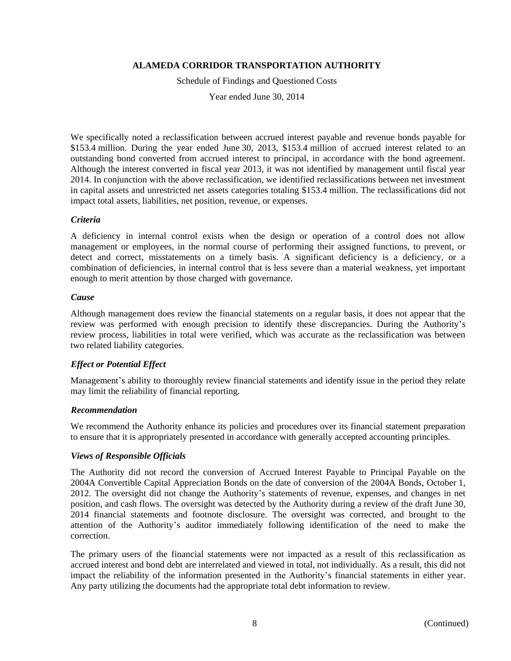Schedule of Findings and Questioned Costs

Year ended June 30, 2014

We specifically noted a reclassification between accrued interest payable and revenue bonds payable for \$153.4 million. During the year ended June 30, 2013, \$153.4 million of accrued interest related to an outstanding bond converted from accrued interest to principal, in accordance with the bond agreement. Although the interest converted in fiscal year 2013, it was not identified by management until fiscal year 2014. In conjunction with the above reclassification, we identified reclassifications between net investment in capital assets and unrestricted net assets categories totaling \$153.4 million. The reclassifications did not impact total assets, liabilities, net position, revenue, or expenses.

#### *Criteria*

A deficiency in internal control exists when the design or operation of a control does not allow management or employees, in the normal course of performing their assigned functions, to prevent, or detect and correct, misstatements on a timely basis. A significant deficiency is a deficiency, or a combination of deficiencies, in internal control that is less severe than a material weakness, yet important enough to merit attention by those charged with governance.

#### *Cause*

Although management does review the financial statements on a regular basis, it does not appear that the review was performed with enough precision to identify these discrepancies. During the Authority's review process, liabilities in total were verified, which was accurate as the reclassification was between two related liability categories.

## *Effect or Potential Effect*

Management's ability to thoroughly review financial statements and identify issue in the period they relate may limit the reliability of financial reporting.

#### *Recommendation*

We recommend the Authority enhance its policies and procedures over its financial statement preparation to ensure that it is appropriately presented in accordance with generally accepted accounting principles.

## *Views of Responsible Officials*

The Authority did not record the conversion of Accrued Interest Payable to Principal Payable on the 2004A Convertible Capital Appreciation Bonds on the date of conversion of the 2004A Bonds, October 1, 2012. The oversight did not change the Authority's statements of revenue, expenses, and changes in net position, and cash flows. The oversight was detected by the Authority during a review of the draft June 30, 2014 financial statements and footnote disclosure. The oversight was corrected, and brought to the attention of the Authority's auditor immediately following identification of the need to make the correction.

The primary users of the financial statements were not impacted as a result of this reclassification as accrued interest and bond debt are interrelated and viewed in total, not individually. As a result, this did not impact the reliability of the information presented in the Authority's financial statements in either year. Any party utilizing the documents had the appropriate total debt information to review.